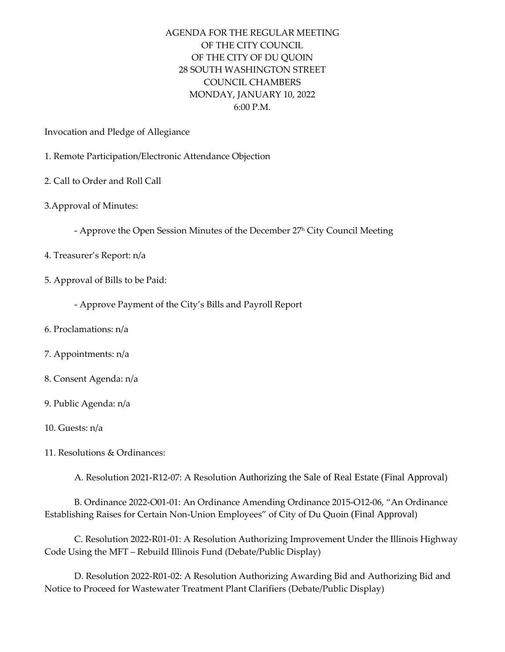## AGENDA FOR THE REGULAR MEETING OF THE CITY COUNCIL OF THE CITY OF DU QUOIN 28 SOUTH WASHINGTON STREET COUNCIL CHAMBERS MONDAY, JANUARY 10, 2022 6:00 P.M.

Invocation and Pledge of Allegiance

- 1. Remote Participation/Electronic Attendance Objection
- 2. Call to Order and Roll Call
- 3.Approval of Minutes:
	- Approve the Open Session Minutes of the December 27<sup>h</sup> City Council Meeting
- 4. Treasurer's Report: n/a
- 5. Approval of Bills to be Paid:
	- Approve Payment of the City's Bills and Payroll Report
- 6. Proclamations: n/a
- 7. Appointments: n/a
- 8. Consent Agenda: n/a
- 9. Public Agenda: n/a
- 10. Guests: n/a
- 11. Resolutions & Ordinances:
	- A. Resolution 2021-R12-07: A Resolution Authorizing the Sale of Real Estate (Final Approval)

B. Ordinance 2022-O01-01: An Ordinance Amending Ordinance 2015-O12-06, "An Ordinance Establishing Raises for Certain Non-Union Employees" of City of Du Quoin (Final Approval)

C. Resolution 2022-R01-01: A Resolution Authorizing Improvement Under the Illinois Highway Code Using the MFT – Rebuild Illinois Fund (Debate/Public Display)

D. Resolution 2022-R01-02: A Resolution Authorizing Awarding Bid and Authorizing Bid and Notice to Proceed for Wastewater Treatment Plant Clarifiers (Debate/Public Display)